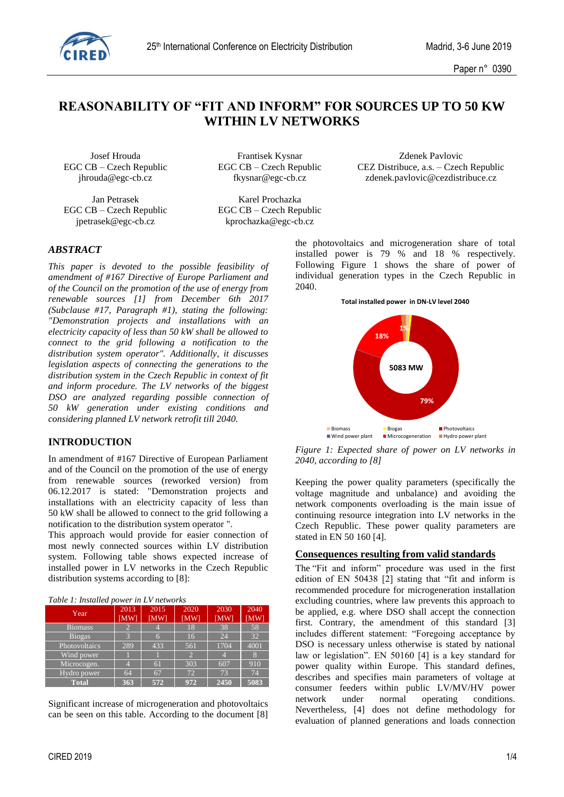

# **REASONABILITY OF "FIT AND INFORM" FOR SOURCES UP TO 50 KW WITHIN LV NETWORKS**

EGC CB – Czech Republic EGC CB – Czech Republic

Jan Petrasek Karel Prochazka jpetrasek@egc-cb.cz kprochazka@egc-cb.cz

Josef Hrouda Frantisek Kysnar Zdenek Pavlovic EGC CB – Czech Republic EGC CB – Czech Republic CEZ Distribuce, a.s. – Czech Republic jhrouda@egc-cb.cz fkysnar@egc-cb.cz zdenek.pavlovic@cezdistribuce.cz

# *ABSTRACT*

*This paper is devoted to the possible feasibility of amendment of #167 Directive of Europe Parliament and of the Council on the promotion of the use of energy from renewable sources [1] from December 6th 2017 (Subclause #17, Paragraph #1), stating the following: "Demonstration projects and installations with an electricity capacity of less than 50 kW shall be allowed to connect to the grid following a notification to the distribution system operator". Additionally, it discusses legislation aspects of connecting the generations to the distribution system in the Czech Republic in context of fit and inform procedure. The LV networks of the biggest DSO are analyzed regarding possible connection of 50 kW generation under existing conditions and considering planned LV network retrofit till 2040.*

### **INTRODUCTION**

In amendment of #167 Directive of European Parliament and of the Council on the promotion of the use of energy from renewable sources (reworked version) from 06.12.2017 is stated: "Demonstration projects and installations with an electricity capacity of less than 50 kW shall be allowed to connect to the grid following a notification to the distribution system operator ".

This approach would provide for easier connection of most newly connected sources within LV distribution system. Following table shows expected increase of installed power in LV networks in the Czech Republic distribution systems according to [8]:

| Year           | 2013<br>[MW] | 2015<br>[MW] | 2020<br>[MW]   | 2030<br>[MW] | 2040<br>[MW] |
|----------------|--------------|--------------|----------------|--------------|--------------|
| <b>Biomass</b> | 2            |              | 18             | 38           | 58           |
| <b>Biogas</b>  | 3            | 6            | 16             | 24           | 32           |
| Photovoltaics  | 289          | 433          | 561            | 1704         | 4001         |
| Wind power     |              |              | $\overline{2}$ |              | 8            |
| Microcogen.    |              | 61           | 303            | 607          | 910          |
| Hydro power    | 64           | 67           | 72             | 73           | 74           |
| <b>Total</b>   | 363          | 572          | 972            | 2450         | 5083         |

Significant increase of microgeneration and photovoltaics can be seen on this table. According to the document [8] the photovoltaics and microgeneration share of total installed power is 79 % and 18 % respectively. Following Figure 1 shows the share of power of individual generation types in the Czech Republic in 2040.

**Total installed power in DN-LV level 2040**



*Figure 1: Expected share of power on LV networks in 2040, according to [8]*

Keeping the power quality parameters (specifically the voltage magnitude and unbalance) and avoiding the network components overloading is the main issue of continuing resource integration into LV networks in the Czech Republic. These power quality parameters are stated in EN 50 160 [4].

### **Consequences resulting from valid standards**

The "Fit and inform" procedure was used in the first edition of EN 50438 [2] stating that "fit and inform is recommended procedure for microgeneration installation excluding countries, where law prevents this approach to be applied, e.g. where DSO shall accept the connection first. Contrary, the amendment of this standard [3] includes different statement: "Foregoing acceptance by DSO is necessary unless otherwise is stated by national law or legislation". EN 50160 [4] is a key standard for power quality within Europe. This standard defines, describes and specifies main parameters of voltage at consumer feeders within public LV/MV/HV power network under normal operating conditions. Nevertheless, [4] does not define methodology for evaluation of planned generations and loads connection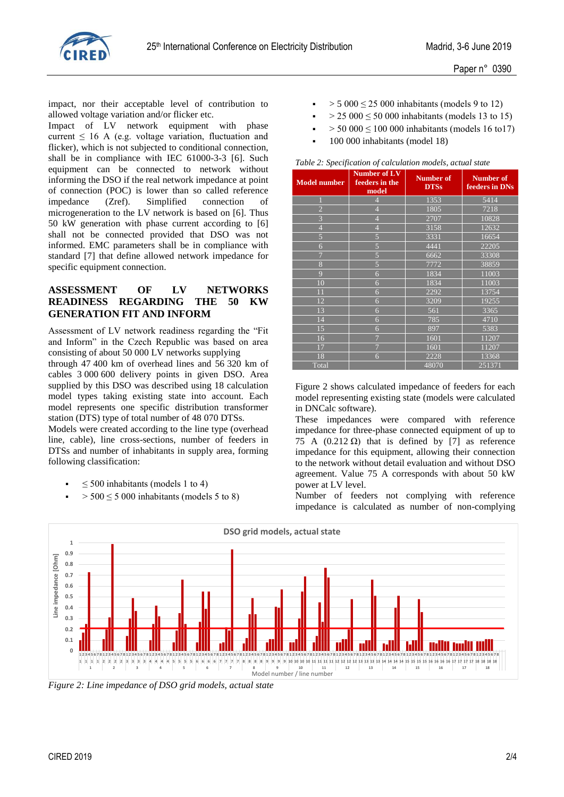

impact, nor their acceptable level of contribution to allowed voltage variation and/or flicker etc.

Impact of LV network equipment with phase current  $\leq 16$  A (e.g. voltage variation, fluctuation and flicker), which is not subjected to conditional connection, shall be in compliance with IEC 61000-3-3 [6]. Such equipment can be connected to network without informing the DSO if the real network impedance at point of connection (POC) is lower than so called reference impedance (Zref). Simplified connection of microgeneration to the LV network is based on [6]. Thus 50 kW generation with phase current according to [6] shall not be connected provided that DSO was not informed. EMC parameters shall be in compliance with standard [7] that define allowed network impedance for specific equipment connection.

# **ASSESSMENT OF LV NETWORKS READINESS REGARDING THE 50 KW GENERATION FIT AND INFORM**

Assessment of LV network readiness regarding the "Fit and Inform" in the Czech Republic was based on area consisting of about 50 000 LV networks supplying

through 47 400 km of overhead lines and 56 320 km of cables 3 000 600 delivery points in given DSO. Area supplied by this DSO was described using 18 calculation model types taking existing state into account. Each model represents one specific distribution transformer station (DTS) type of total number of 48 070 DTSs.

Models were created according to the line type (overhead line, cable), line cross-sections, number of feeders in DTSs and number of inhabitants in supply area, forming following classification:

- ≤ 500 inhabitants (models 1 to 4)
- $>$  500  $\leq$  5 000 inhabitants (models 5 to 8)
- $> 5000 \leq 25000$  inhabitants (models 9 to 12)
- $> 25\,000 \le 50\,000$  inhabitants (models 13 to 15)
- $> 50\,000 \le 100\,000$  inhabitants (models 16 to 17)
- 100 000 inhabitants (model 18)

*Table 2: Specification of calculation models, actual state*

| <b>Model number</b> | Number of LV<br>feeders in the<br>model | <b>Number of</b><br><b>DTSs</b> | <b>Number of</b><br>feeders in DNs |
|---------------------|-----------------------------------------|---------------------------------|------------------------------------|
|                     | $\overline{4}$                          | 1353                            | 5414                               |
| $\overline{2}$      | $\overline{4}$                          | 1805                            | 7218                               |
| 3                   | $\overline{4}$                          | 2707                            | 10828                              |
| $\overline{4}$      | $\overline{4}$                          | 3158                            | 12632                              |
| 5                   | 5                                       | 3331                            | 16654                              |
| 6                   | 5                                       | 4441                            | 22205                              |
| $\overline{7}$      | $\overline{5}$                          | 6662                            | 33308                              |
| 8                   | 5                                       | 7772                            | 38859                              |
| 9                   | 6                                       | 1834                            | 11003                              |
| 10                  | 6                                       | 1834                            | 11003                              |
| 11                  | 6                                       | 2292                            | 13754                              |
| 12                  | 6                                       | 3209                            | 19255                              |
| 13                  | 6                                       | 561                             | 3365                               |
| 14                  | 6                                       | 785                             | $\overline{47}10$                  |
| 15                  | 6                                       | 897                             | 5383                               |
| 16                  | $\overline{7}$                          | 1601                            | 11207                              |
| 17                  | $\overline{7}$                          | 1601                            | 11207                              |
| 18                  | 6                                       | 2228                            | 13368                              |
| Total               |                                         | 48070                           | 251371                             |

Figure 2 shows calculated impedance of feeders for each model representing existing state (models were calculated in DNCalc software).

These impedances were compared with reference impedance for three-phase connected equipment of up to 75 A  $(0.212 \Omega)$  that is defined by [7] as reference impedance for this equipment, allowing their connection to the network without detail evaluation and without DSO agreement. Value 75 A corresponds with about 50 kW power at LV level.

Number of feeders not complying with reference impedance is calculated as number of non-complying



*Figure 2: Line impedance of DSO grid models, actual state*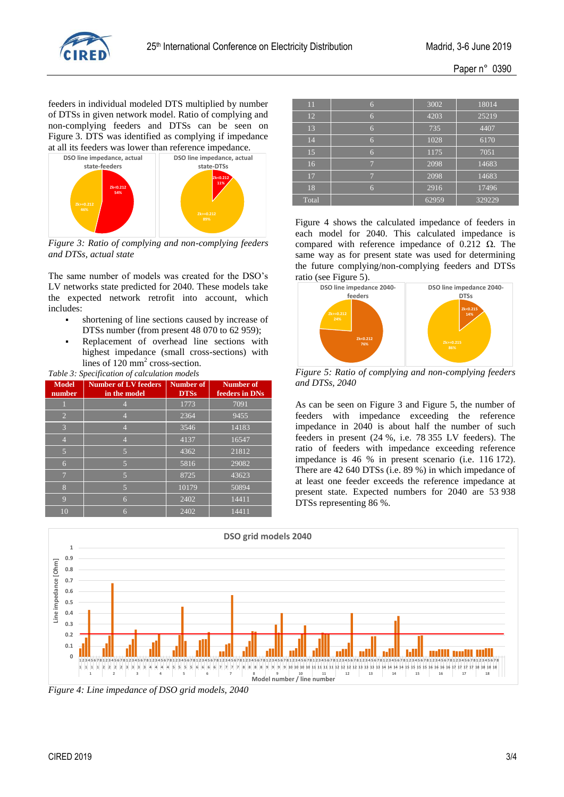

Ī

ī T, ī

feeders in individual modeled DTS multiplied by number of DTSs in given network model. Ratio of complying and non-complying feeders and DTSs can be seen on Figure 3. DTS was identified as complying if impedance at all its feeders was lower than reference impedance.



*Figure 3: Ratio of complying and non-complying feeders and DTSs, actual state*

The same number of models was created for the DSO's LV networks state predicted for 2040. These models take the expected network retrofit into account, which includes:

- shortening of line sections caused by increase of DTSs number (from present 48 070 to 62 959);
- Replacement of overhead line sections with highest impedance (small cross-sections) with lines of 120 mm<sup>2</sup> cross-section. *Table 3: Specification of calculation models*

| Table 5. Specification of calculation models |                                             |                          |                                    |  |  |
|----------------------------------------------|---------------------------------------------|--------------------------|------------------------------------|--|--|
| <b>Model</b><br>number                       | <b>Number of LV feeders</b><br>in the model | Number of<br><b>DTSs</b> | <b>Number of</b><br>feeders in DNs |  |  |
|                                              |                                             | 1773                     | 7091                               |  |  |
| $\overline{2}$                               |                                             | 2364                     | 9455                               |  |  |
| $\overline{3}$                               | 4                                           | 3546                     | 14183                              |  |  |
| $\overline{4}$                               | 4                                           | 4137                     | 16547                              |  |  |
| 5                                            | $\overline{5}$                              | 4362                     | 21812                              |  |  |
| 6                                            | 5                                           | 5816                     | 29082                              |  |  |
| $\overline{7}$                               | 5                                           | 8725                     | 43623                              |  |  |
| 8                                            | 5                                           | 10179                    | 50894                              |  |  |
| 9                                            | 6                                           | 2402                     | 14411                              |  |  |
| 10                                           | 6                                           | 2402                     | 14411                              |  |  |

| 11    | 6              | 3002  | 18014  |
|-------|----------------|-------|--------|
| 12    | 6              | 4203  | 25219  |
| 13    | 6              | 735   | 4407   |
| 14    | 6              | 1028  | 6170   |
| 15    | 6              | 1175  | 7051   |
| 16    | $\overline{ }$ | 2098  | 14683  |
| 17    | 7              | 2098  | 14683  |
| 18    | 6              | 2916  | 17496  |
| Total |                | 62959 | 329229 |

Figure 4 shows the calculated impedance of feeders in each model for 2040. This calculated impedance is compared with reference impedance of 0.212  $Ω$ . The same way as for present state was used for determining the future complying/non-complying feeders and DTSs ratio (see Figure 5).



*Figure 5: Ratio of complying and non-complying feeders and DTSs, 2040*

As can be seen on Figure 3 and Figure 5, the number of feeders with impedance exceeding the reference impedance in 2040 is about half the number of such feeders in present (24 %, i.e. 78 355 LV feeders). The ratio of feeders with impedance exceeding reference impedance is 46 % in present scenario (i.e. 116 172). There are 42 640 DTSs (i.e. 89 %) in which impedance of at least one feeder exceeds the reference impedance at present state. Expected numbers for 2040 are 53 938 DTSs representing 86 %.



*Figure 4: Line impedance of DSO grid models, 2040*